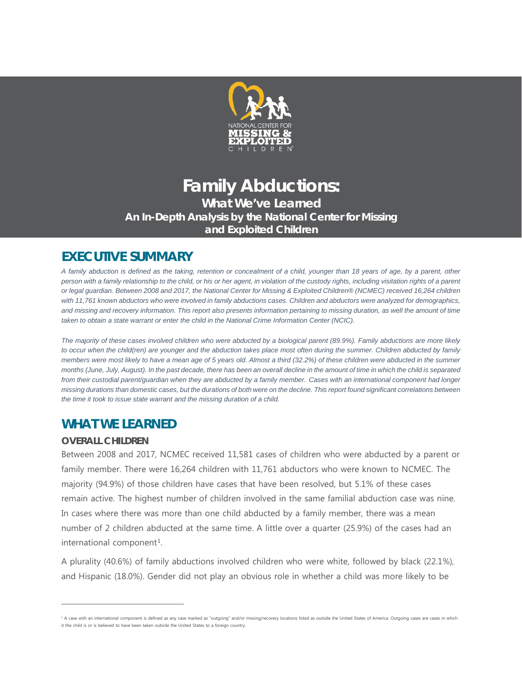

## **Family Abductions: What We've Learned An In-Depth Analysis by the National Center for Missing and Exploited Children**

# **EXECUTIVE SUMMARY**

*A family abduction is defined as the taking, retention or concealment of a child, younger than 18 years of age, by a parent, other person with a family relationship to the child, or his or her agent, in violation of the custody rights, including visitation rights of a parent or legal guardian. Between 2008 and 2017, the National Center for Missing & Exploited Children® (NCMEC) received 16,264 children with 11,761 known abductors who were involved in family abductions cases. Children and abductors were analyzed for demographics, and missing and recovery information. This report also presents information pertaining to missing duration, as well the amount of time taken to obtain a state warrant or enter the child in the National Crime Information Center (NCIC).*

*The majority of these cases involved children who were abducted by a biological parent (89.9%). Family abductions are more likely to occur when the child(ren) are younger and the abduction takes place most often during the summer. Children abducted by family members were most likely to have a mean age of 5 years old. Almost a third (32.2%) of these children were abducted in the summer months (June, July, August). In the past decade, there has been an overall decline in the amount of time in which the child is separated from their custodial parent/guardian when they are abducted by a family member. Cases with an international component had longer missing durations than domestic cases, but the durations of both were on the decline. This report found significant correlations between the time it took to issue state warrant and the missing duration of a child.*

### **WHAT WE LEARNED**

### **OVERALL CHILDREN**

 $\overline{a}$ 

Between 2008 and 2017, NCMEC received 11,581 cases of children who were abducted by a parent or family member. There were 16,264 children with 11,761 abductors who were known to NCMEC. The majority (94.9%) of those children have cases that have been resolved, but 5.1% of these cases remain active. The highest number of children involved in the same familial abduction case was nine. In cases where there was more than one child abducted by a family member, there was a mean number of 2 children abducted at the same time. A little over a quarter (25.9%) of the cases had an international component<sup>[1](#page-0-0)</sup>.

A plurality (40.6%) of family abductions involved children who were white, followed by black (22.1%), and Hispanic (18.0%). Gender did not play an obvious role in whether a child was more likely to be

<span id="page-0-0"></span><sup>&</sup>lt;sup>1</sup> A case with an international component is defined as any case marked as "outgoing" and/or missing/recovery locations listed as outside the United States of America. Outgoing cases are cases in which it the child is or is believed to have been taken outside the United States to a foreign country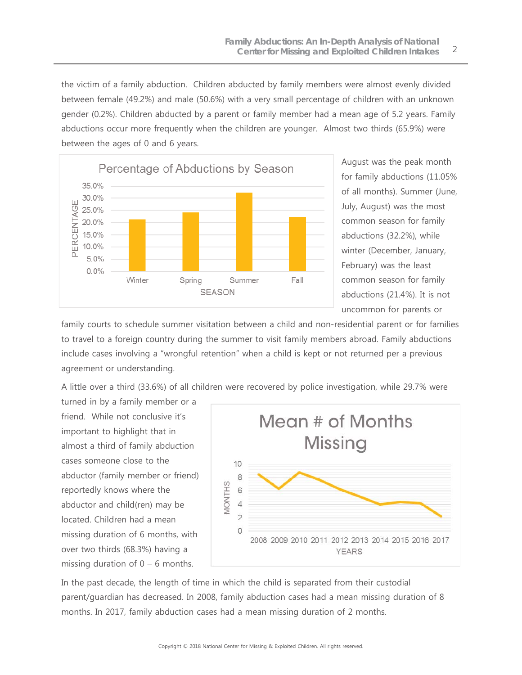the victim of a family abduction. Children abducted by family members were almost evenly divided between female (49.2%) and male (50.6%) with a very small percentage of children with an unknown gender (0.2%). Children abducted by a parent or family member had a mean age of 5.2 years. Family abductions occur more frequently when the children are younger. Almost two thirds (65.9%) were between the ages of 0 and 6 years.



August was the peak month for family abductions (11.05% of all months). Summer (June, July, August) was the most common season for family abductions (32.2%), while winter (December, January, February) was the least common season for family abductions (21.4%). It is not uncommon for parents or

family courts to schedule summer visitation between a child and non-residential parent or for families to travel to a foreign country during the summer to visit family members abroad. Family abductions include cases involving a "wrongful retention" when a child is kept or not returned per a previous agreement or understanding.

A little over a third (33.6%) of all children were recovered by police investigation, while 29.7% were

turned in by a family member or a friend. While not conclusive it's important to highlight that in almost a third of family abduction cases someone close to the abductor (family member or friend) reportedly knows where the abductor and child(ren) may be located. Children had a mean missing duration of 6 months, with over two thirds (68.3%) having a missing duration of  $0 - 6$  months.



In the past decade, the length of time in which the child is separated from their custodial parent/guardian has decreased. In 2008, family abduction cases had a mean missing duration of 8 months. In 2017, family abduction cases had a mean missing duration of 2 months.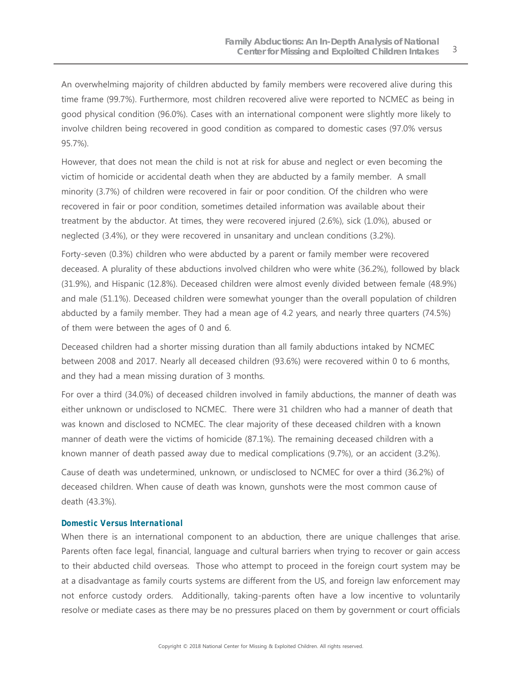An overwhelming majority of children abducted by family members were recovered alive during this time frame (99.7%). Furthermore, most children recovered alive were reported to NCMEC as being in good physical condition (96.0%). Cases with an international component were slightly more likely to involve children being recovered in good condition as compared to domestic cases (97.0% versus 95.7%).

However, that does not mean the child is not at risk for abuse and neglect or even becoming the victim of homicide or accidental death when they are abducted by a family member. A small minority (3.7%) of children were recovered in fair or poor condition. Of the children who were recovered in fair or poor condition, sometimes detailed information was available about their treatment by the abductor. At times, they were recovered injured (2.6%), sick (1.0%), abused or neglected (3.4%), or they were recovered in unsanitary and unclean conditions (3.2%).

Forty-seven (0.3%) children who were abducted by a parent or family member were recovered deceased. A plurality of these abductions involved children who were white (36.2%), followed by black (31.9%), and Hispanic (12.8%). Deceased children were almost evenly divided between female (48.9%) and male (51.1%). Deceased children were somewhat younger than the overall population of children abducted by a family member. They had a mean age of 4.2 years, and nearly three quarters (74.5%) of them were between the ages of 0 and 6.

Deceased children had a shorter missing duration than all family abductions intaked by NCMEC between 2008 and 2017. Nearly all deceased children (93.6%) were recovered within 0 to 6 months, and they had a mean missing duration of 3 months.

For over a third (34.0%) of deceased children involved in family abductions, the manner of death was either unknown or undisclosed to NCMEC. There were 31 children who had a manner of death that was known and disclosed to NCMEC. The clear majority of these deceased children with a known manner of death were the victims of homicide (87.1%). The remaining deceased children with a known manner of death passed away due to medical complications (9.7%), or an accident (3.2%).

Cause of death was undetermined, unknown, or undisclosed to NCMEC for over a third (36.2%) of deceased children. When cause of death was known, gunshots were the most common cause of death (43.3%).

#### *Domestic Versus International*

When there is an international component to an abduction, there are unique challenges that arise. Parents often face legal, financial, language and cultural barriers when trying to recover or gain access to their abducted child overseas. Those who attempt to proceed in the foreign court system may be at a disadvantage as family courts systems are different from the US, and foreign law enforcement may not enforce custody orders. Additionally, taking-parents often have a low incentive to voluntarily resolve or mediate cases as there may be no pressures placed on them by government or court officials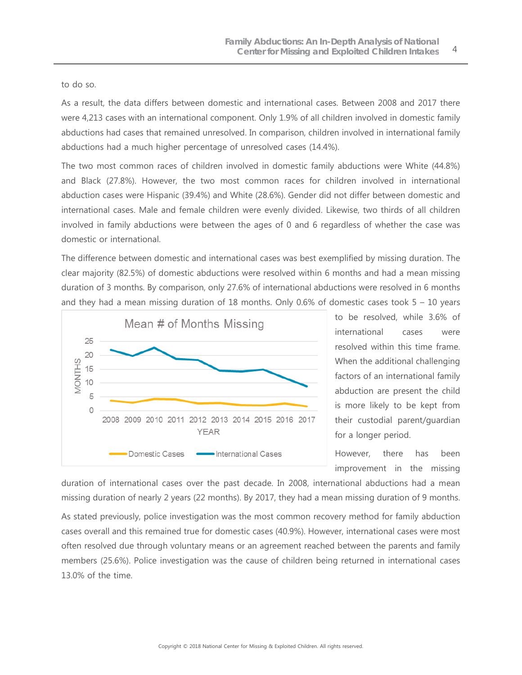#### to do so.

As a result, the data differs between domestic and international cases. Between 2008 and 2017 there were 4,213 cases with an international component. Only 1.9% of all children involved in domestic family abductions had cases that remained unresolved. In comparison, children involved in international family abductions had a much higher percentage of unresolved cases (14.4%).

The two most common races of children involved in domestic family abductions were White (44.8%) and Black (27.8%). However, the two most common races for children involved in international abduction cases were Hispanic (39.4%) and White (28.6%). Gender did not differ between domestic and international cases. Male and female children were evenly divided. Likewise, two thirds of all children involved in family abductions were between the ages of 0 and 6 regardless of whether the case was domestic or international.

The difference between domestic and international cases was best exemplified by missing duration. The clear majority (82.5%) of domestic abductions were resolved within 6 months and had a mean missing duration of 3 months. By comparison, only 27.6% of international abductions were resolved in 6 months and they had a mean missing duration of 18 months. Only  $0.6\%$  of domestic cases took 5 – 10 years



to be resolved, while 3.6% of international cases were resolved within this time frame. When the additional challenging factors of an international family abduction are present the child is more likely to be kept from their custodial parent/guardian for a longer period.

However, there has been improvement in the missing

duration of international cases over the past decade. In 2008, international abductions had a mean missing duration of nearly 2 years (22 months). By 2017, they had a mean missing duration of 9 months.

As stated previously, police investigation was the most common recovery method for family abduction cases overall and this remained true for domestic cases (40.9%). However, international cases were most often resolved due through voluntary means or an agreement reached between the parents and family members (25.6%). Police investigation was the cause of children being returned in international cases 13.0% of the time.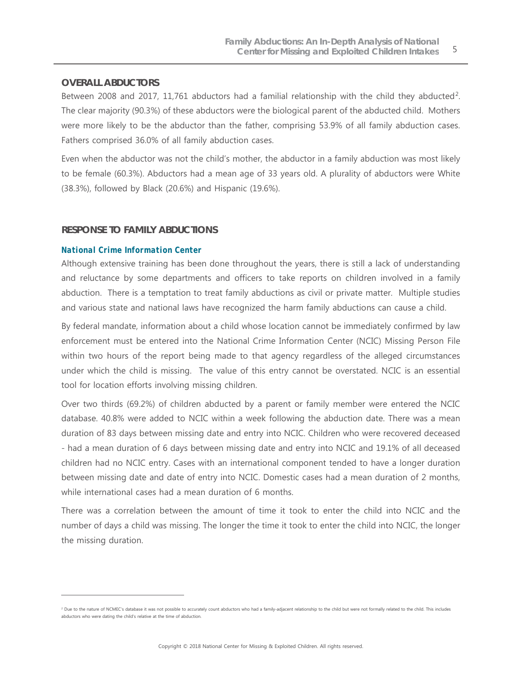#### **OVERALL ABDUCTORS**

Between 2008 and 2017, 11,761 abductors had a familial relationship with the child they abducted<sup>2</sup>. The clear majority (90.3%) of these abductors were the biological parent of the abducted child. Mothers were more likely to be the abductor than the father, comprising 53.9% of all family abduction cases. Fathers comprised 36.0% of all family abduction cases.

Even when the abductor was not the child's mother, the abductor in a family abduction was most likely to be female (60.3%). Abductors had a mean age of 33 years old. A plurality of abductors were White (38.3%), followed by Black (20.6%) and Hispanic (19.6%).

#### **RESPONSE TO FAMILY ABDUCTIONS**

#### *National Crime Information Center*

 $\overline{a}$ 

Although extensive training has been done throughout the years, there is still a lack of understanding and reluctance by some departments and officers to take reports on children involved in a family abduction. There is a temptation to treat family abductions as civil or private matter. Multiple studies and various state and national laws have recognized the harm family abductions can cause a child.

By federal mandate, information about a child whose location cannot be immediately confirmed by law enforcement must be entered into the National Crime Information Center (NCIC) Missing Person File within two hours of the report being made to that agency regardless of the alleged circumstances under which the child is missing. The value of this entry cannot be overstated. NCIC is an essential tool for location efforts involving missing children.

Over two thirds (69.2%) of children abducted by a parent or family member were entered the NCIC database. 40.8% were added to NCIC within a week following the abduction date. There was a mean duration of 83 days between missing date and entry into NCIC. Children who were recovered deceased - had a mean duration of 6 days between missing date and entry into NCIC and 19.1% of all deceased children had no NCIC entry. Cases with an international component tended to have a longer duration between missing date and date of entry into NCIC. Domestic cases had a mean duration of 2 months, while international cases had a mean duration of 6 months.

There was a correlation between the amount of time it took to enter the child into NCIC and the number of days a child was missing. The longer the time it took to enter the child into NCIC, the longer the missing duration.

<span id="page-4-0"></span><sup>&</sup>lt;sup>2</sup> Due to the nature of NCMEC's database it was not possible to accurately count abductors who had a family-adjacent relationship to the child but were not formally related to the child. This includes abductors who were dating the child's relative at the time of abduction.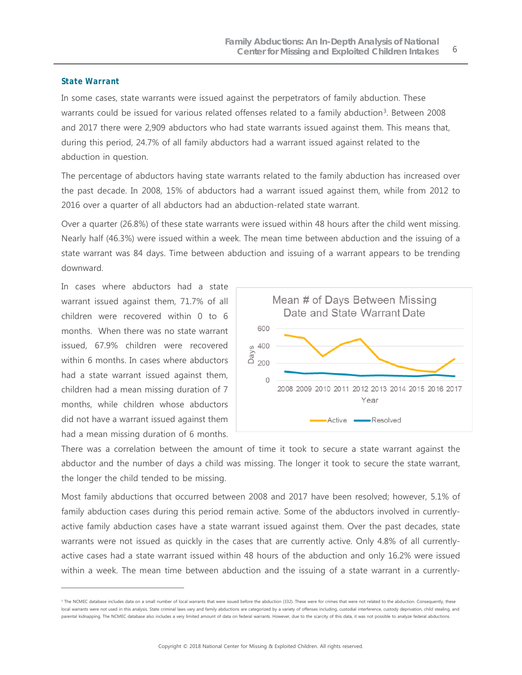#### *State Warrant*

In some cases, state warrants were issued against the perpetrators of family abduction. These warrants could be issued for various related offenses related to a family abduction<sup>[3](#page-5-0)</sup>. Between 2008 and 2017 there were 2,909 abductors who had state warrants issued against them. This means that, during this period, 24.7% of all family abductors had a warrant issued against related to the abduction in question.

The percentage of abductors having state warrants related to the family abduction has increased over the past decade. In 2008, 15% of abductors had a warrant issued against them, while from 2012 to 2016 over a quarter of all abductors had an abduction-related state warrant.

Over a quarter (26.8%) of these state warrants were issued within 48 hours after the child went missing. Nearly half (46.3%) were issued within a week. The mean time between abduction and the issuing of a state warrant was 84 days. Time between abduction and issuing of a warrant appears to be trending downward.

In cases where abductors had a state warrant issued against them, 71.7% of all children were recovered within 0 to 6 months. When there was no state warrant issued, 67.9% children were recovered within 6 months. In cases where abductors had a state warrant issued against them, children had a mean missing duration of 7 months, while children whose abductors did not have a warrant issued against them had a mean missing duration of 6 months.

 $\overline{a}$ 



There was a correlation between the amount of time it took to secure a state warrant against the abductor and the number of days a child was missing. The longer it took to secure the state warrant, the longer the child tended to be missing.

Most family abductions that occurred between 2008 and 2017 have been resolved; however, 5.1% of family abduction cases during this period remain active. Some of the abductors involved in currentlyactive family abduction cases have a state warrant issued against them. Over the past decades, state warrants were not issued as quickly in the cases that are currently active. Only 4.8% of all currentlyactive cases had a state warrant issued within 48 hours of the abduction and only 16.2% were issued within a week. The mean time between abduction and the issuing of a state warrant in a currently-

<span id="page-5-0"></span><sup>&</sup>lt;sup>3</sup> The NCMEC database includes data on a small number of local warrants that were issued before the abduction (332). These were for crimes that were not related to the abduction. Consequently, these local warrants were not used in this analysis. State criminal laws vary and family abductions are categorized by a variety of offenses including, custodial interference, custody deprivation, child stealing, and parental kidnapping. The NCMEC database also includes a very limited amount of data on federal warrants. However, due to the scarcity of this data, it was not possible to analyze federal abductions.